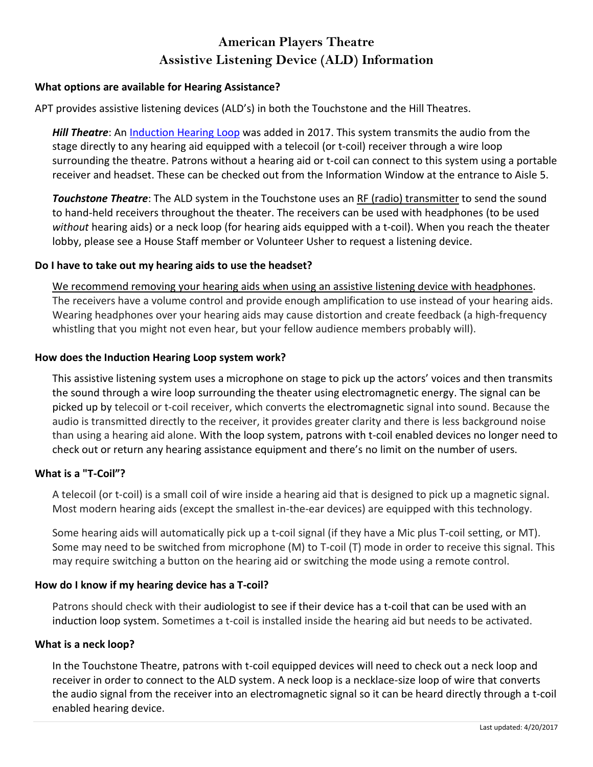# **American Players Theatre Assistive Listening Device (ALD) Information**

### **What options are available for Hearing Assistance?**

APT provides assistive listening devices (ALD's) in both the Touchstone and the Hill Theatres.

*Hill Theatre*: An [Induction](http://www.hearingloop.org/) Hearing Loop was added in 2017. This system transmits the audio from the stage directly to any hearing aid equipped with a telecoil (or t-coil) receiver through a wire loop surrounding the theatre. Patrons without a hearing aid or t-coil can connect to this system using a portable receiver and headset. These can be checked out from the Information Window at the entrance to Aisle 5.

*Touchstone Theatre*: The ALD system in the Touchstone uses an RF (radio) [transmitter](http://www.asha.org/public/hearing/FM-Systems/) to send the sound to hand-held receivers throughout the theater. The receivers can be used with headphones (to be used *without* hearing aids) or a neck loop (for hearing aids equipped with a t-coil). When you reach the theater lobby, please see a House Staff member or Volunteer Usher to request a listening device.

### **Do I have to take out my hearing aids to use the headset?**

We recommend removing your hearing aids when using an assistive listening device with headphones. The receivers have a volume control and provide enough amplification to use instead of your hearing aids. Wearing headphones over your hearing aids may cause distortion and create feedback (a high-frequency whistling that you might not even hear, but your fellow audience members probably will).

### **How does the Induction Hearing Loop system work?**

This assistive listening system uses a microphone on stage to pick up the actors' voices and then transmits the sound through a wire loop surrounding the theater using electromagnetic energy. The signal can be picked up by telecoil or t-coil receiver, which converts the electromagnetic signal into sound. Because the audio is transmitted directly to the receiver, it provides greater clarity and there is less background noise than using a hearing aid alone. With the loop system, patrons with t-coil enabled devices no longer need to check out or return any hearing assistance equipment and there's no limit on the number of users.

### **What is a "T-Coil"?**

A telecoil (or t-coil) is a small coil of wire inside a hearing aid that is designed to pick up a magnetic signal. Most modern hearing aids (except the smallest in-the-ear devices) are equipped with this technology.

Some hearing aids will automatically pick up a t-coil signal (if they have a Mic plus T-coil setting, or MT). Some may need to be switched from microphone (M) to T-coil (T) mode in order to receive this signal. This may require switching a button on the hearing aid or switching the mode using a remote control.

### **How do I know if my hearing device has a T-coil?**

Patrons should check with their audiologist to see if their device has a t-coil that can be used with an induction loop system. Sometimes a t-coil is installed inside the hearing aid but needs to be activated.

### **What is a neck loop?**

In the Touchstone Theatre, patrons with t-coil equipped devices will need to check out a neck loop and receiver in order to connect to the ALD system. A neck loop is a necklace-size loop of wire that converts the audio signal from the receiver into an electromagnetic signal so it can be heard directly through a t-coil enabled hearing device.